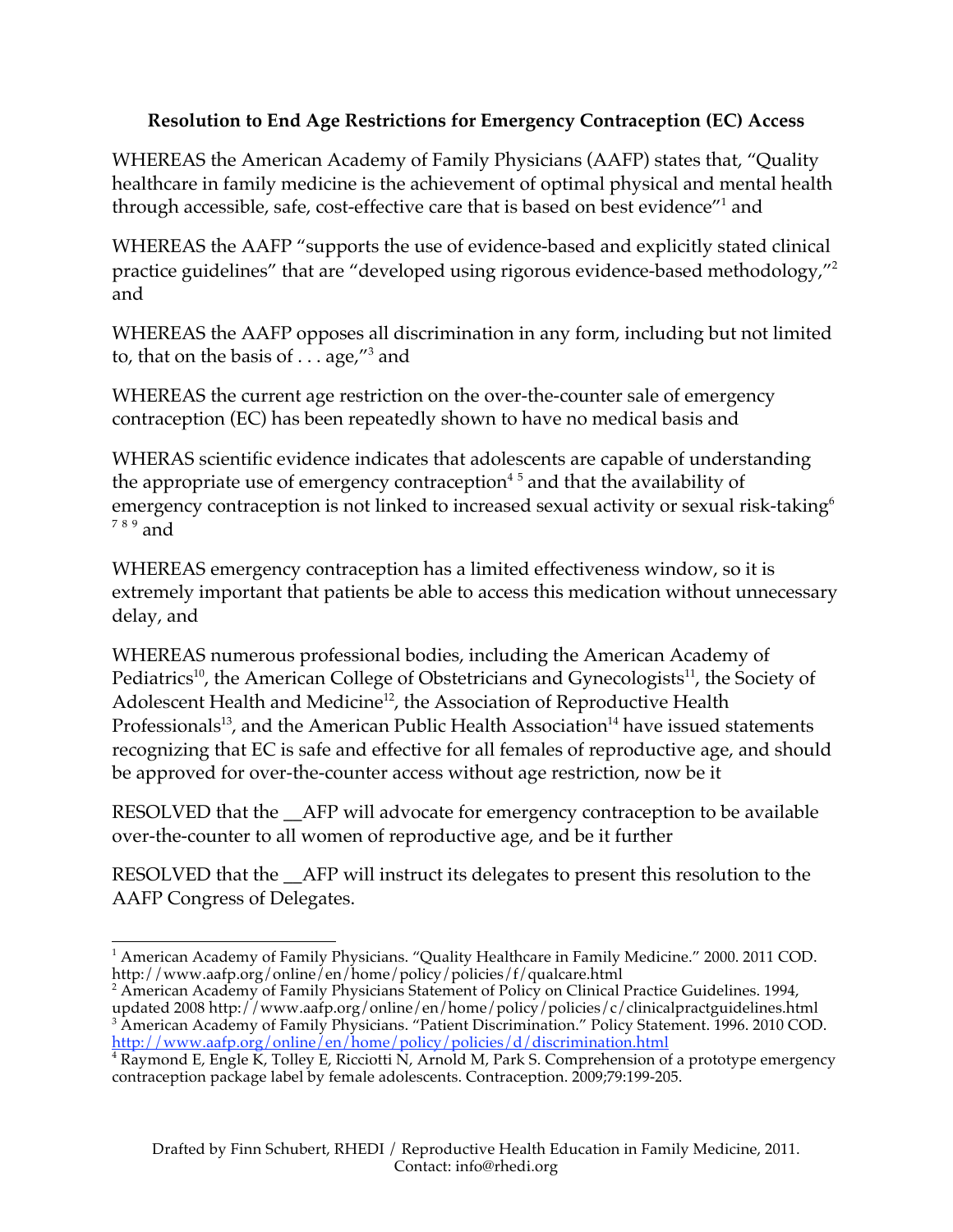## **Resolution to End Age Restrictions for Emergency Contraception (EC) Access**

WHEREAS the American Academy of Family Physicians (AAFP) states that, "Quality healthcare in family medicine is the achievement of optimal physical and mental health through accessible, safe, cost-effective care that is based on best evidence"<sup>1</sup> and

WHEREAS the AAFP "supports the use of evidence-based and explicitly stated clinical practice guidelines" that are "developed using rigorous evidence-based methodology,"2 and

WHEREAS the AAFP opposes all discrimination in any form, including but not limited to, that on the basis of  $\dots$  age,"<sup>3</sup> and

WHEREAS the current age restriction on the over-the-counter sale of emergency contraception (EC) has been repeatedly shown to have no medical basis and

WHERAS scientific evidence indicates that adolescents are capable of understanding the appropriate use of emergency contraception $4\,5$  and that the availability of emergency contraception is not linked to increased sexual activity or sexual risk-taking<sup>6</sup>  $789$  and

WHEREAS emergency contraception has a limited effectiveness window, so it is extremely important that patients be able to access this medication without unnecessary delay, and

WHEREAS numerous professional bodies, including the American Academy of Pediatrics<sup>10</sup>, the American College of Obstetricians and Gynecologists<sup>11</sup>, the Society of Adolescent Health and Medicine<sup>12</sup>, the Association of Reproductive Health Professionals<sup>13</sup>, and the American Public Health Association<sup>14</sup> have issued statements recognizing that EC is safe and effective for all females of reproductive age, and should be approved for over-the-counter access without age restriction, now be it

RESOLVED that the \_\_AFP will advocate for emergency contraception to be available over-the-counter to all women of reproductive age, and be it further

RESOLVED that the AFP will instruct its delegates to present this resolution to the AAFP Congress of Delegates.

<sup>&</sup>lt;u> 1989 - Johann Stein, fransk politik (d. 1989)</u> <sup>1</sup> American Academy of Family Physicians. "Quality Healthcare in Family Medicine." 2000. 2011 COD. http://www.aafp.org/online/en/home/policy/policies/f/qualcare.html

<sup>&</sup>lt;sup>2</sup> American Academy of Family Physicians Statement of Policy on Clinical Practice Guidelines. 1994, updated 2008 http://www.aafp.org/online/en/home/policy/policies/c/clinicalpractguidelines.html<br><sup>3</sup> American Academy of Family Physicians. "Patient Discrimination." Policy Statement. 1996. 2010 COD.

http://www.aafp.org/online/en/home/policy/policies/d/discrimination.html<br><sup>4</sup> Raymond E, Engle K, Tolley E, Ricciotti N, Arnold M, Park S. Comprehension of a prototype emergency contraception package label by female adolescents. Contraception. 2009;79:199-205.